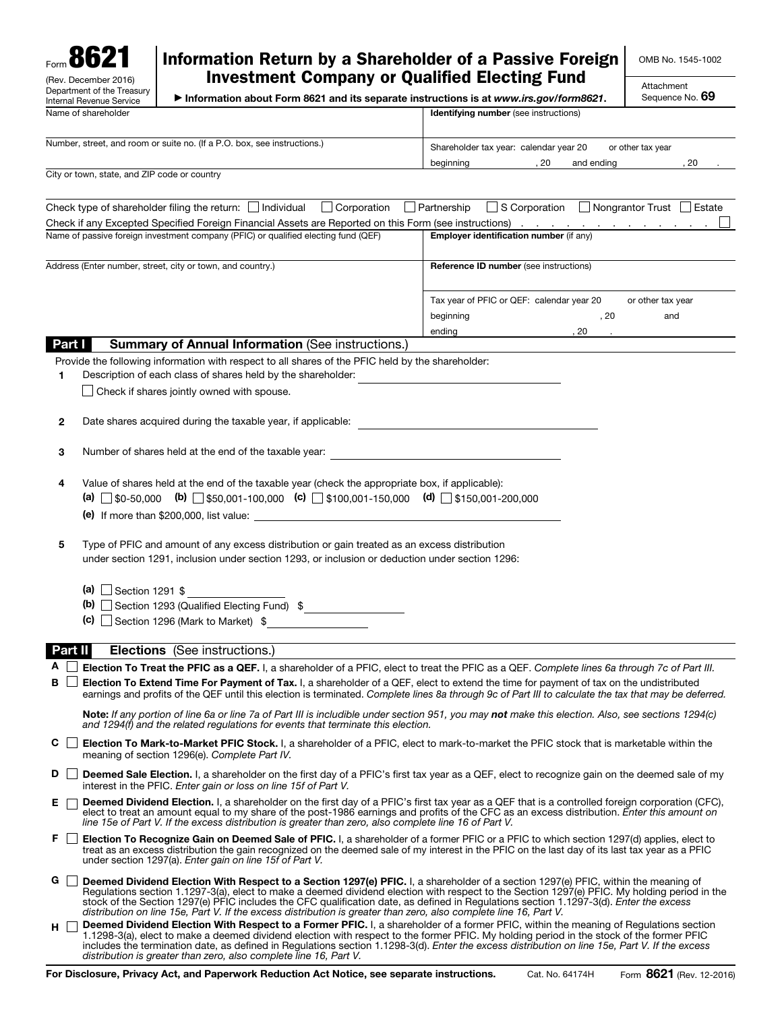

## Information Return by a Shareholder of a Passive Foreign Investment Company or Qualified Electing Fund

OMB No. 1545-1002

| Information about Form 8621 and its separate instructions is at www.irs.gov/form8621. |  |  |
|---------------------------------------------------------------------------------------|--|--|

Attachment Sequence No. 69

| Name of shareholder                                                                                                                                                                                                                                                                                                  | Identifying number (see instructions)                                                                  |  |  |  |
|----------------------------------------------------------------------------------------------------------------------------------------------------------------------------------------------------------------------------------------------------------------------------------------------------------------------|--------------------------------------------------------------------------------------------------------|--|--|--|
| Number, street, and room or suite no. (If a P.O. box, see instructions.)                                                                                                                                                                                                                                             |                                                                                                        |  |  |  |
|                                                                                                                                                                                                                                                                                                                      | or other tax year<br>Shareholder tax year: calendar year 20<br>, 20<br>, 20<br>beginning<br>and ending |  |  |  |
| City or town, state, and ZIP code or country                                                                                                                                                                                                                                                                         |                                                                                                        |  |  |  |
|                                                                                                                                                                                                                                                                                                                      |                                                                                                        |  |  |  |
| Check type of shareholder filing the return: $\Box$ Individual<br>$\Box$ Corporation                                                                                                                                                                                                                                 | □ S Corporation □ Nongrantor Trust □ Estate<br>$\Box$ Partnership                                      |  |  |  |
| Check if any Excepted Specified Foreign Financial Assets are Reported on this Form (see instructions) Altonian Assets And Altonian Assets and Theorem and Theorem and Theorem and Theorem Assets and Assets and Assets and Ass<br>Name of passive foreign investment company (PFIC) or qualified electing fund (QEF) | Employer identification number (if any)                                                                |  |  |  |
|                                                                                                                                                                                                                                                                                                                      |                                                                                                        |  |  |  |
| Address (Enter number, street, city or town, and country.)                                                                                                                                                                                                                                                           | Reference ID number (see instructions)                                                                 |  |  |  |
|                                                                                                                                                                                                                                                                                                                      |                                                                                                        |  |  |  |
|                                                                                                                                                                                                                                                                                                                      | Tax year of PFIC or QEF: calendar year 20<br>or other tax year                                         |  |  |  |
|                                                                                                                                                                                                                                                                                                                      | , 20<br>beginning<br>and                                                                               |  |  |  |
|                                                                                                                                                                                                                                                                                                                      | ending<br>, 20<br><b>Contract</b>                                                                      |  |  |  |
| <b>Summary of Annual Information (See instructions.)</b><br>Part I                                                                                                                                                                                                                                                   |                                                                                                        |  |  |  |
| Provide the following information with respect to all shares of the PFIC held by the shareholder:                                                                                                                                                                                                                    |                                                                                                        |  |  |  |
| Description of each class of shares held by the shareholder:<br>1                                                                                                                                                                                                                                                    | the control of the control of the control of the control of the control of                             |  |  |  |
| $\Box$ Check if shares jointly owned with spouse.                                                                                                                                                                                                                                                                    |                                                                                                        |  |  |  |
| Date shares acquired during the taxable year, if applicable:                                                                                                                                                                                                                                                         |                                                                                                        |  |  |  |
| 2                                                                                                                                                                                                                                                                                                                    |                                                                                                        |  |  |  |
| Number of shares held at the end of the taxable year:<br>3                                                                                                                                                                                                                                                           | <u> 1989 - Johann Stein, mars an deutscher Stein († 1958)</u>                                          |  |  |  |
|                                                                                                                                                                                                                                                                                                                      |                                                                                                        |  |  |  |
| Value of shares held at the end of the taxable year (check the appropriate box, if applicable):<br>4                                                                                                                                                                                                                 |                                                                                                        |  |  |  |
| (a) $\Box$ \$0-50,000 (b) $\Box$ \$50,001-100,000 (c) $\Box$ \$100,001-150,000 (d) $\Box$ \$150,001-200,000                                                                                                                                                                                                          |                                                                                                        |  |  |  |
|                                                                                                                                                                                                                                                                                                                      |                                                                                                        |  |  |  |
|                                                                                                                                                                                                                                                                                                                      |                                                                                                        |  |  |  |
| Type of PFIC and amount of any excess distribution or gain treated as an excess distribution<br>5                                                                                                                                                                                                                    |                                                                                                        |  |  |  |
| under section 1291, inclusion under section 1293, or inclusion or deduction under section 1296:                                                                                                                                                                                                                      |                                                                                                        |  |  |  |
|                                                                                                                                                                                                                                                                                                                      |                                                                                                        |  |  |  |
| (a) Section 1291 $\frac{6}{3}$                                                                                                                                                                                                                                                                                       |                                                                                                        |  |  |  |
| (b) $\Box$ Section 1293 (Qualified Electing Fund) $\sin \frac{\pi x}{2}$                                                                                                                                                                                                                                             |                                                                                                        |  |  |  |
| $\left(\text{c}\right)$ Section 1296 (Mark to Market) $\frac{1}{2}$                                                                                                                                                                                                                                                  |                                                                                                        |  |  |  |
| <b>Elections</b> (See instructions.)<br>Part II                                                                                                                                                                                                                                                                      |                                                                                                        |  |  |  |
| A<br>Election To Treat the PFIC as a QEF. I, a shareholder of a PFIC, elect to treat the PFIC as a QEF. Complete lines 6a through 7c of Part III.                                                                                                                                                                    |                                                                                                        |  |  |  |
| Election To Extend Time For Payment of Tax. I, a shareholder of a QEF, elect to extend the time for payment of tax on the undistributed<br>в                                                                                                                                                                         |                                                                                                        |  |  |  |
| earnings and profits of the QEF until this election is terminated. Complete lines 8a through 9c of Part III to calculate the tax that may be deferred.                                                                                                                                                               |                                                                                                        |  |  |  |
| <b>Note:</b> If any portion of line 6a or line 7a of Part III is includible under section 951, you may <b>not</b> make this election. Also, see sections 1294(c)<br>and 1294(f) and the related requiations for events that terminate this election.                                                                 |                                                                                                        |  |  |  |
| C<br>$\mathbf{L}$<br><b>Election To Mark-to-Market PFIC Stock.</b> I, a shareholder of a PFIC, elect to mark-to-market the PFIC stock that is marketable within the<br>meaning of section 1296(e). Complete Part IV.                                                                                                 |                                                                                                        |  |  |  |
| Deemed Sale Election. I, a shareholder on the first day of a PFIC's first tax year as a QEF, elect to recognize gain on the deemed sale of my<br>interest in the PFIC. Enter gain or loss on line 15f of Part V.                                                                                                     |                                                                                                        |  |  |  |
| <b>Deemed Dividend Election.</b> I, a shareholder on the first day of a PFIC's first tax year as a QEF that is a controlled foreign corporation (CFC),<br>elect to treat an amount equal to my share of the post-1986 earnings and profits of the CFC as an excess distribution. Enter this amount on                |                                                                                                        |  |  |  |
| line 15e of Part V. If the excess distribution is greater than zero, also complete line 16 of Part V.<br>F.<br>Election To Recognize Gain on Deemed Sale of PFIC. I, a shareholder of a former PFIC or a PFIC to which section 1297(d) applies, elect to                                                             |                                                                                                        |  |  |  |
| treat as an excess distribution the gain recognized on the deemed sale of my interest in the PFIC on the last day of its last tax year as a PFIC<br>under section 1297(a). Enter gain on line 15f of Part V.                                                                                                         |                                                                                                        |  |  |  |
| G<br>Deemed Dividend Election With Respect to a Section 1297(e) PFIC. I, a shareholder of a section 1297(e) PFIC, within the meaning of                                                                                                                                                                              |                                                                                                        |  |  |  |

- Regulations section 1.1297-3(a), elect to make a deemed dividend election with respect to the Section 1297(e) PFIC. My holding period in the stock of the Section 1297(e) PFIC includes the CFC qualification date, as defined in Regulations section 1.1297-3(d). *Enter the excess distribution on line 15e, Part V. If the excess distribution is greater than zero, also complete line 16, Part V.*
- H □ Deemed Dividend Election With Respect to a Former PFIC. I, a shareholder of a former PFIC, within the meaning of Regulations section 1.1298-3(a), elect to make a deemed dividend election with respect to the former PFIC. My holding period in the stock of the former PFIC<br>includes the termination date, as defined in Regulations section 1.1298-3(d). *Enter distribution is greater than zero, also complete line 16, Part V.*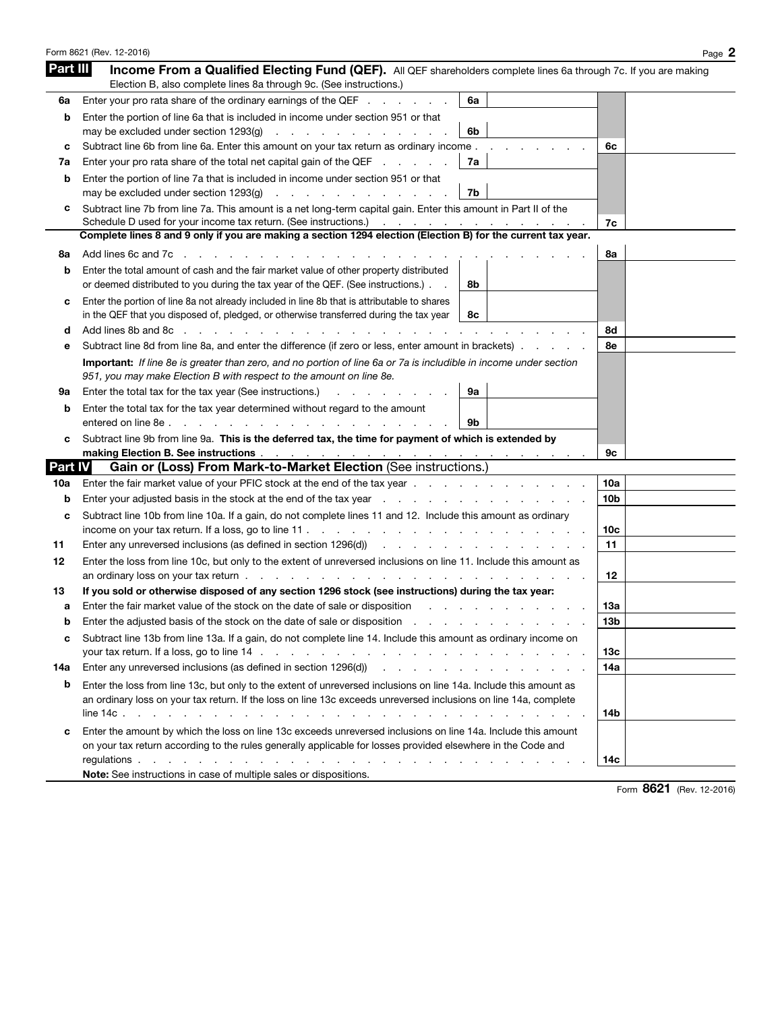|                | Form 8621 (Rev. 12-2016)                                                                                                                                                                                                      | Page 2          |
|----------------|-------------------------------------------------------------------------------------------------------------------------------------------------------------------------------------------------------------------------------|-----------------|
| Part III       | Income From a Qualified Electing Fund (QEF). All QEF shareholders complete lines 6a through 7c. If you are making<br>Election B, also complete lines 8a through 9c. (See instructions.)                                       |                 |
| 6а             | Enter your pro rata share of the ordinary earnings of the QEF<br>6a                                                                                                                                                           |                 |
| b              | Enter the portion of line 6a that is included in income under section 951 or that                                                                                                                                             |                 |
|                | 6b                                                                                                                                                                                                                            |                 |
| c              | Subtract line 6b from line 6a. Enter this amount on your tax return as ordinary income.                                                                                                                                       | 6с              |
| 7a             | 7a<br>Enter your pro rata share of the total net capital gain of the QEF                                                                                                                                                      |                 |
| b              | Enter the portion of line 7a that is included in income under section 951 or that                                                                                                                                             |                 |
|                | 7b<br>may be excluded under section 1293(q)<br>the contract of the contract of the contract of                                                                                                                                |                 |
| c              | Subtract line 7b from line 7a. This amount is a net long-term capital gain. Enter this amount in Part II of the<br>Schedule D used for your income tax return. (See instructions.)                                            | 7c              |
|                | Complete lines 8 and 9 only if you are making a section 1294 election (Election B) for the current tax year.                                                                                                                  |                 |
| 8а             | Add lines 6c and 7c                                                                                                                                                                                                           | 8а              |
| b              | Enter the total amount of cash and the fair market value of other property distributed                                                                                                                                        |                 |
|                | or deemed distributed to you during the tax year of the QEF. (See instructions.).<br>8b                                                                                                                                       |                 |
| c              | Enter the portion of line 8a not already included in line 8b that is attributable to shares                                                                                                                                   |                 |
|                | in the QEF that you disposed of, pledged, or otherwise transferred during the tax year<br>8с                                                                                                                                  |                 |
| d              | Add lines 8b and 8c                                                                                                                                                                                                           | 8d              |
| е              | Subtract line 8d from line 8a, and enter the difference (if zero or less, enter amount in brackets).                                                                                                                          | 8e              |
|                | Important: If line 8e is greater than zero, and no portion of line 6a or 7a is includible in income under section                                                                                                             |                 |
|                | 951, you may make Election B with respect to the amount on line 8e.                                                                                                                                                           |                 |
| 9а             | 9a<br>Enter the total tax for the tax year (See instructions.)<br>and a strong control of the state of                                                                                                                        |                 |
| b              | Enter the total tax for the tax year determined without regard to the amount                                                                                                                                                  |                 |
|                | entered on line 8e. .<br>9b<br>and a strategic and a                                                                                                                                                                          |                 |
| c              | Subtract line 9b from line 9a. This is the deferred tax, the time for payment of which is extended by<br>making Election B. See instructions and a series of the set of the set of the set of the set of the set of the       | 9с              |
| <b>Part IV</b> | Gain or (Loss) From Mark-to-Market Election (See instructions.)                                                                                                                                                               |                 |
| 10a            |                                                                                                                                                                                                                               | 10a             |
| b              | Enter your adjusted basis in the stock at the end of the tax year enter the state of the state of the state of the tax year and the state of the state of the state of the state of the tax year.                             | 10b             |
| c              | Subtract line 10b from line 10a. If a gain, do not complete lines 11 and 12. Include this amount as ordinary                                                                                                                  |                 |
|                | income on your tax return. If a loss, go to line $11.$ $\ldots$ $\ldots$ $\ldots$ $\ldots$ $\ldots$ $\ldots$                                                                                                                  | 10c             |
| 11             | Enter any unreversed inclusions (as defined in section 1296(d) enterprise and any unreversed inclusions (as defined in section 1296(d))                                                                                       | 11              |
| 12             | Enter the loss from line 10c, but only to the extent of unreversed inclusions on line 11. Include this amount as                                                                                                              |                 |
|                |                                                                                                                                                                                                                               | 12              |
| 13             | If you sold or otherwise disposed of any section 1296 stock (see instructions) during the tax year:                                                                                                                           |                 |
| а              | Enter the fair market value of the stock on the date of sale or disposition                                                                                                                                                   | 1За             |
| D              | Enter the adjusted basis of the stock on the date of sale or disposition                                                                                                                                                      | 13 <sub>b</sub> |
| c              | Subtract line 13b from line 13a. If a gain, do not complete line 14. Include this amount as ordinary income on                                                                                                                |                 |
|                |                                                                                                                                                                                                                               | 13с             |
| 14a            | Enter any unreversed inclusions (as defined in section 1296(d) enter any statement of the statement of the statement of the statement of the statement of the statement of the statement of the statement of the statement of | 14a             |
| b              | Enter the loss from line 13c, but only to the extent of unreversed inclusions on line 14a. Include this amount as                                                                                                             |                 |
|                | an ordinary loss on your tax return. If the loss on line 13c exceeds unreversed inclusions on line 14a, complete                                                                                                              |                 |
|                |                                                                                                                                                                                                                               | 14b             |
| c              | Enter the amount by which the loss on line 13c exceeds unreversed inclusions on line 14a. Include this amount                                                                                                                 |                 |
|                | on your tax return according to the rules generally applicable for losses provided elsewhere in the Code and                                                                                                                  |                 |
|                |                                                                                                                                                                                                                               | 14с             |
|                | Note: See instructions in case of multiple sales or dispositions.                                                                                                                                                             |                 |

Form 8621 (Rev. 12-2016)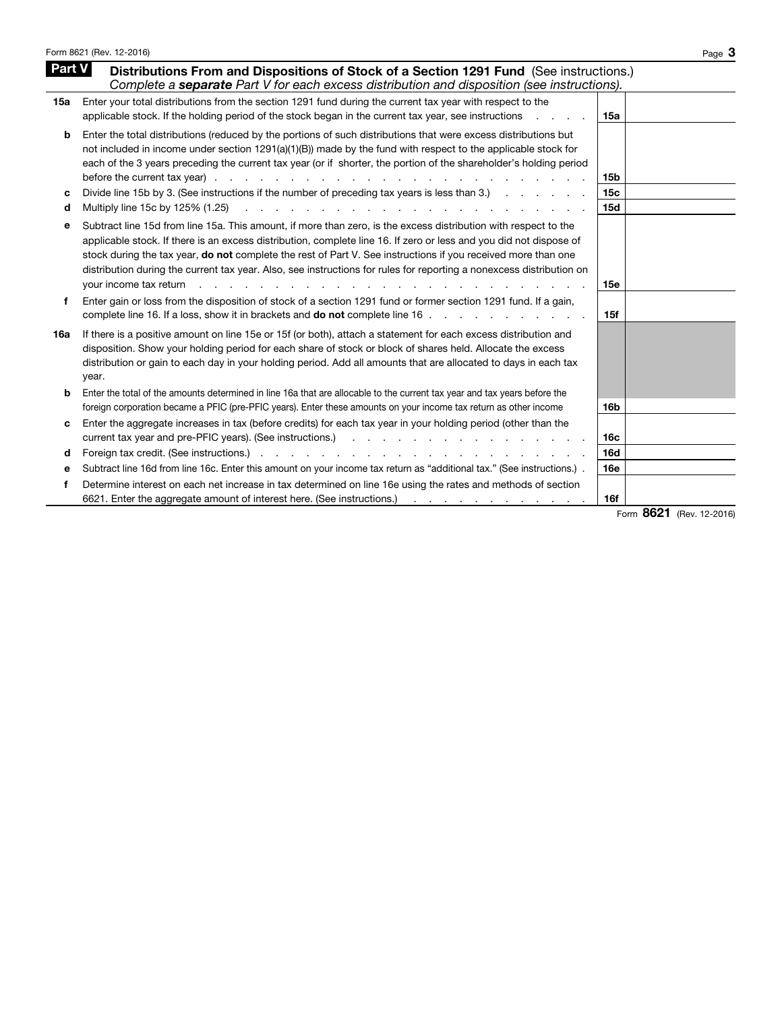| Part V<br>Distributions From and Dispositions of Stock of a Section 1291 Fund (See instructions.)<br>Complete a separate Part V for each excess distribution and disposition (see instructions).<br>Enter your total distributions from the section 1291 fund during the current tax year with respect to the<br>15a<br>applicable stock. If the holding period of the stock began in the current tax year, see instructions<br>15a<br>Enter the total distributions (reduced by the portions of such distributions that were excess distributions but<br>b<br>not included in income under section $1291(a)(1)(B)$ made by the fund with respect to the applicable stock for<br>each of the 3 years preceding the current tax year (or if shorter, the portion of the shareholder's holding period<br><b>15b</b><br>Divide line 15b by 3. (See instructions if the number of preceding tax years is less than 3.)<br>15c<br>c<br>Multiply line 15c by 125% (1.25)<br><b>15d</b><br>.<br>d<br>Subtract line 15d from line 15a. This amount, if more than zero, is the excess distribution with respect to the<br>е<br>applicable stock. If there is an excess distribution, complete line 16. If zero or less and you did not dispose of<br>stock during the tax year, <b>do not</b> complete the rest of Part V. See instructions if you received more than one<br>distribution during the current tax year. Also, see instructions for rules for reporting a nonexcess distribution on<br>your income tax return<br>15e<br>Enter gain or loss from the disposition of stock of a section 1291 fund or former section 1291 fund. If a gain,<br>f<br>complete line 16. If a loss, show it in brackets and <b>do not</b> complete line 16.<br>15f<br>If there is a positive amount on line 15e or 15f (or both), attach a statement for each excess distribution and<br>16a<br>disposition. Show your holding period for each share of stock or block of shares held. Allocate the excess<br>distribution or gain to each day in your holding period. Add all amounts that are allocated to days in each tax<br>year.<br>Enter the total of the amounts determined in line 16a that are allocable to the current tax year and tax years before the<br>b<br>foreign corporation became a PFIC (pre-PFIC years). Enter these amounts on your income tax return as other income<br>16 <sub>b</sub><br>Enter the aggregate increases in tax (before credits) for each tax year in your holding period (other than the<br>с<br>16c<br><b>16d</b><br>d<br>Subtract line 16d from line 16c. Enter this amount on your income tax return as "additional tax." (See instructions.) .<br><b>16e</b><br>е<br>Determine interest on each net increase in tax determined on line 16e using the rates and methods of section<br>f | Form 8621 (Rev. 12-2016)                                               | Page 3                           |
|--------------------------------------------------------------------------------------------------------------------------------------------------------------------------------------------------------------------------------------------------------------------------------------------------------------------------------------------------------------------------------------------------------------------------------------------------------------------------------------------------------------------------------------------------------------------------------------------------------------------------------------------------------------------------------------------------------------------------------------------------------------------------------------------------------------------------------------------------------------------------------------------------------------------------------------------------------------------------------------------------------------------------------------------------------------------------------------------------------------------------------------------------------------------------------------------------------------------------------------------------------------------------------------------------------------------------------------------------------------------------------------------------------------------------------------------------------------------------------------------------------------------------------------------------------------------------------------------------------------------------------------------------------------------------------------------------------------------------------------------------------------------------------------------------------------------------------------------------------------------------------------------------------------------------------------------------------------------------------------------------------------------------------------------------------------------------------------------------------------------------------------------------------------------------------------------------------------------------------------------------------------------------------------------------------------------------------------------------------------------------------------------------------------------------------------------------------------------------------------------------------------------------------------------------------------------------------------------------------------------------------------------------------------------------------------------------------------------------------------------------------------------------------------------------------------------|------------------------------------------------------------------------|----------------------------------|
|                                                                                                                                                                                                                                                                                                                                                                                                                                                                                                                                                                                                                                                                                                                                                                                                                                                                                                                                                                                                                                                                                                                                                                                                                                                                                                                                                                                                                                                                                                                                                                                                                                                                                                                                                                                                                                                                                                                                                                                                                                                                                                                                                                                                                                                                                                                                                                                                                                                                                                                                                                                                                                                                                                                                                                                                                    |                                                                        |                                  |
|                                                                                                                                                                                                                                                                                                                                                                                                                                                                                                                                                                                                                                                                                                                                                                                                                                                                                                                                                                                                                                                                                                                                                                                                                                                                                                                                                                                                                                                                                                                                                                                                                                                                                                                                                                                                                                                                                                                                                                                                                                                                                                                                                                                                                                                                                                                                                                                                                                                                                                                                                                                                                                                                                                                                                                                                                    |                                                                        |                                  |
|                                                                                                                                                                                                                                                                                                                                                                                                                                                                                                                                                                                                                                                                                                                                                                                                                                                                                                                                                                                                                                                                                                                                                                                                                                                                                                                                                                                                                                                                                                                                                                                                                                                                                                                                                                                                                                                                                                                                                                                                                                                                                                                                                                                                                                                                                                                                                                                                                                                                                                                                                                                                                                                                                                                                                                                                                    |                                                                        |                                  |
|                                                                                                                                                                                                                                                                                                                                                                                                                                                                                                                                                                                                                                                                                                                                                                                                                                                                                                                                                                                                                                                                                                                                                                                                                                                                                                                                                                                                                                                                                                                                                                                                                                                                                                                                                                                                                                                                                                                                                                                                                                                                                                                                                                                                                                                                                                                                                                                                                                                                                                                                                                                                                                                                                                                                                                                                                    |                                                                        |                                  |
|                                                                                                                                                                                                                                                                                                                                                                                                                                                                                                                                                                                                                                                                                                                                                                                                                                                                                                                                                                                                                                                                                                                                                                                                                                                                                                                                                                                                                                                                                                                                                                                                                                                                                                                                                                                                                                                                                                                                                                                                                                                                                                                                                                                                                                                                                                                                                                                                                                                                                                                                                                                                                                                                                                                                                                                                                    |                                                                        |                                  |
|                                                                                                                                                                                                                                                                                                                                                                                                                                                                                                                                                                                                                                                                                                                                                                                                                                                                                                                                                                                                                                                                                                                                                                                                                                                                                                                                                                                                                                                                                                                                                                                                                                                                                                                                                                                                                                                                                                                                                                                                                                                                                                                                                                                                                                                                                                                                                                                                                                                                                                                                                                                                                                                                                                                                                                                                                    |                                                                        |                                  |
|                                                                                                                                                                                                                                                                                                                                                                                                                                                                                                                                                                                                                                                                                                                                                                                                                                                                                                                                                                                                                                                                                                                                                                                                                                                                                                                                                                                                                                                                                                                                                                                                                                                                                                                                                                                                                                                                                                                                                                                                                                                                                                                                                                                                                                                                                                                                                                                                                                                                                                                                                                                                                                                                                                                                                                                                                    |                                                                        |                                  |
|                                                                                                                                                                                                                                                                                                                                                                                                                                                                                                                                                                                                                                                                                                                                                                                                                                                                                                                                                                                                                                                                                                                                                                                                                                                                                                                                                                                                                                                                                                                                                                                                                                                                                                                                                                                                                                                                                                                                                                                                                                                                                                                                                                                                                                                                                                                                                                                                                                                                                                                                                                                                                                                                                                                                                                                                                    |                                                                        |                                  |
|                                                                                                                                                                                                                                                                                                                                                                                                                                                                                                                                                                                                                                                                                                                                                                                                                                                                                                                                                                                                                                                                                                                                                                                                                                                                                                                                                                                                                                                                                                                                                                                                                                                                                                                                                                                                                                                                                                                                                                                                                                                                                                                                                                                                                                                                                                                                                                                                                                                                                                                                                                                                                                                                                                                                                                                                                    |                                                                        |                                  |
|                                                                                                                                                                                                                                                                                                                                                                                                                                                                                                                                                                                                                                                                                                                                                                                                                                                                                                                                                                                                                                                                                                                                                                                                                                                                                                                                                                                                                                                                                                                                                                                                                                                                                                                                                                                                                                                                                                                                                                                                                                                                                                                                                                                                                                                                                                                                                                                                                                                                                                                                                                                                                                                                                                                                                                                                                    |                                                                        |                                  |
|                                                                                                                                                                                                                                                                                                                                                                                                                                                                                                                                                                                                                                                                                                                                                                                                                                                                                                                                                                                                                                                                                                                                                                                                                                                                                                                                                                                                                                                                                                                                                                                                                                                                                                                                                                                                                                                                                                                                                                                                                                                                                                                                                                                                                                                                                                                                                                                                                                                                                                                                                                                                                                                                                                                                                                                                                    |                                                                        |                                  |
|                                                                                                                                                                                                                                                                                                                                                                                                                                                                                                                                                                                                                                                                                                                                                                                                                                                                                                                                                                                                                                                                                                                                                                                                                                                                                                                                                                                                                                                                                                                                                                                                                                                                                                                                                                                                                                                                                                                                                                                                                                                                                                                                                                                                                                                                                                                                                                                                                                                                                                                                                                                                                                                                                                                                                                                                                    |                                                                        |                                  |
|                                                                                                                                                                                                                                                                                                                                                                                                                                                                                                                                                                                                                                                                                                                                                                                                                                                                                                                                                                                                                                                                                                                                                                                                                                                                                                                                                                                                                                                                                                                                                                                                                                                                                                                                                                                                                                                                                                                                                                                                                                                                                                                                                                                                                                                                                                                                                                                                                                                                                                                                                                                                                                                                                                                                                                                                                    | 6621. Enter the aggregate amount of interest here. (See instructions.) | 16f<br><b>9691</b> (Day 10,0010) |

Form 8621 (Rev. 12-2016)